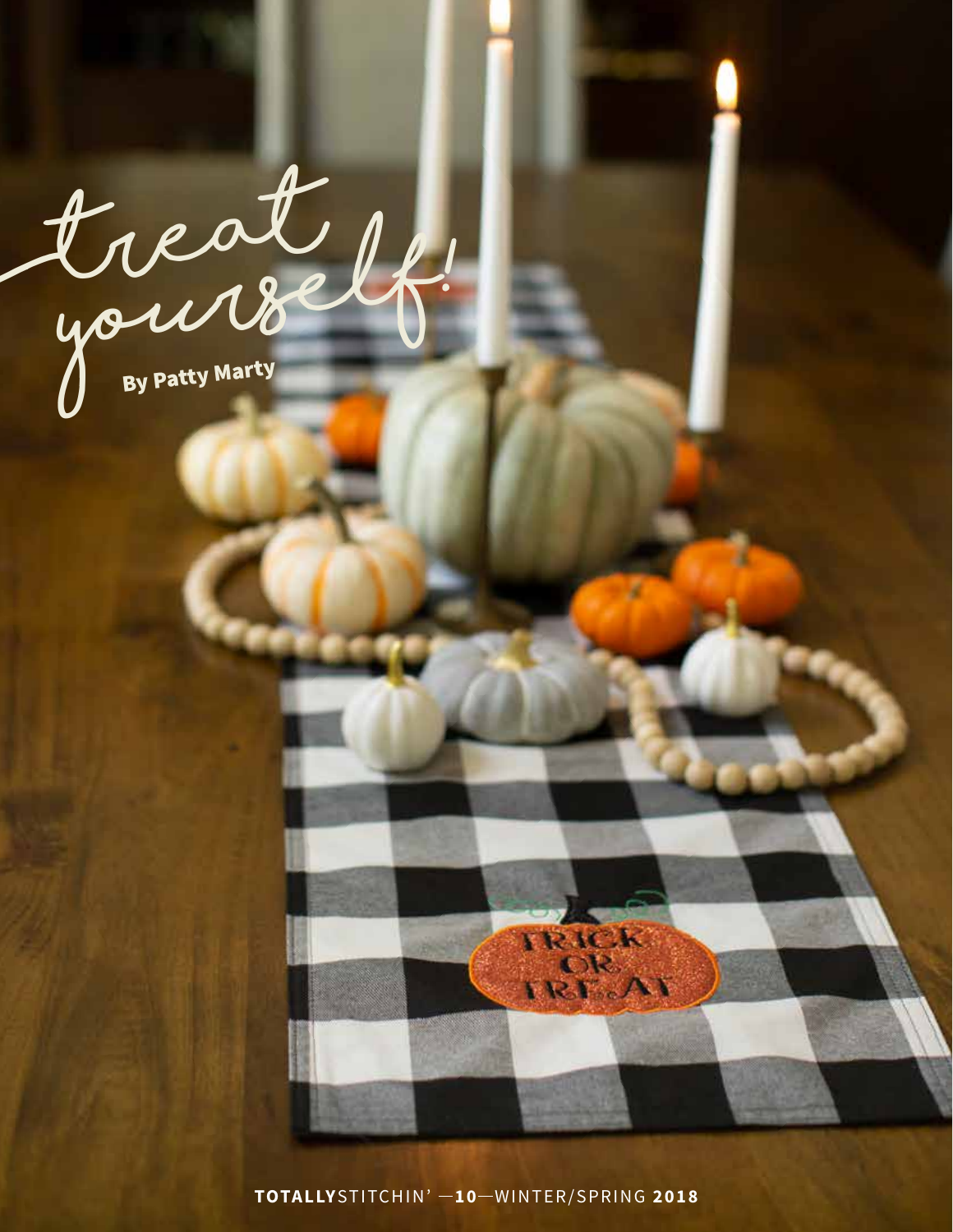**yourself!** treat



**TOTALLY**STITCHIN' **1 0** WINTER/SPRING **2018** By Patty Marty<br>
Marty Marty<br>
TOTALLYSTITCHIN' -10-WINTER/SPRING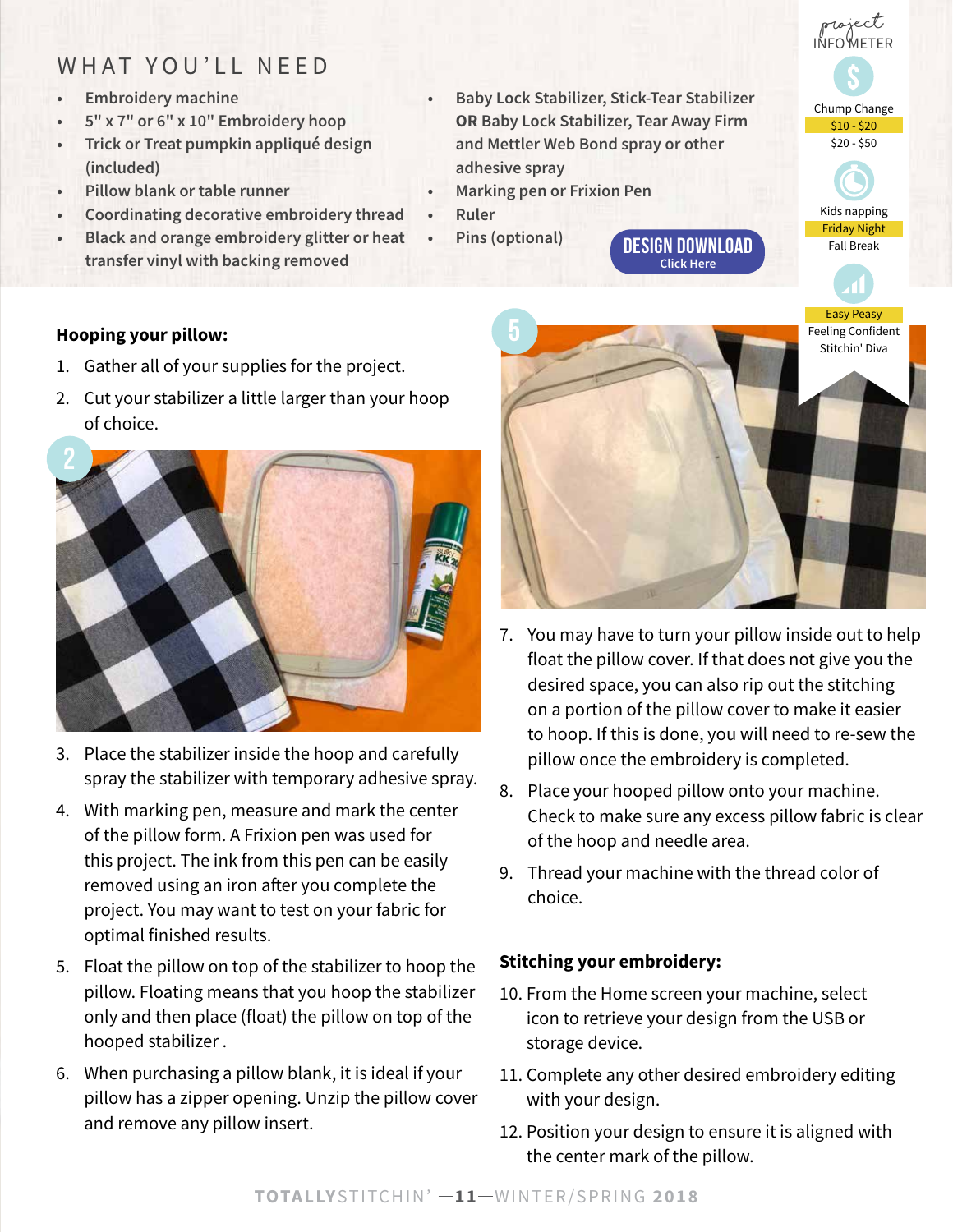## WHAT YOU'LL NEED

- **• Embroidery machine**
- **• 5" x 7" or 6" x 10" Embroidery hoop**
- **• Trick or Treat pumpkin appliqué design (included)**
- **• Pillow blank or table runner**
- **• Coordinating decorative embroidery thread**
- **• Black and orange embroidery glitter or heat transfer vinyl with backing removed**
- **• Baby Lock Stabilizer, Stick-Tear Stabilizer OR Baby Lock Stabilizer, Tear Away Firm and Mettler Web Bond spray or other adhesive spray**
	- **• Marking pen or Frixion Pen**
- **• Ruler**
	- **• Pins (optional)**

Design Download **Click Here**

# Chump Change \$10 - \$20 \$20 - \$50

**project**  INFO METER

Kids napping Friday Night Fall Break

### **Hooping your pillow:**

- 1. Gather all of your supplies for the project.
- 2. Cut your stabilizer a little larger than your hoop of choice.



- 3. Place the stabilizer inside the hoop and carefully spray the stabilizer with temporary adhesive spray.
- 4. With marking pen, measure and mark the center of the pillow form. A Frixion pen was used for this project. The ink from this pen can be easily removed using an iron after you complete the project. You may want to test on your fabric for optimal finished results.
- 5. Float the pillow on top of the stabilizer to hoop the pillow. Floating means that you hoop the stabilizer only and then place (float) the pillow on top of the hooped stabilizer .
- 6. When purchasing a pillow blank, it is ideal if your pillow has a zipper opening. Unzip the pillow cover and remove any pillow insert.



- 7. You may have to turn your pillow inside out to help float the pillow cover. If that does not give you the desired space, you can also rip out the stitching on a portion of the pillow cover to make it easier to hoop. If this is done, you will need to re-sew the pillow once the embroidery is completed.
- 8. Place your hooped pillow onto your machine. Check to make sure any excess pillow fabric is clear of the hoop and needle area.
- 9. Thread your machine with the thread color of choice.

#### **Stitching your embroidery:**

- 10. From the Home screen your machine, select icon to retrieve your design from the USB or storage device.
- 11. Complete any other desired embroidery editing with your design.
- 12. Position your design to ensure it is aligned with the center mark of the pillow.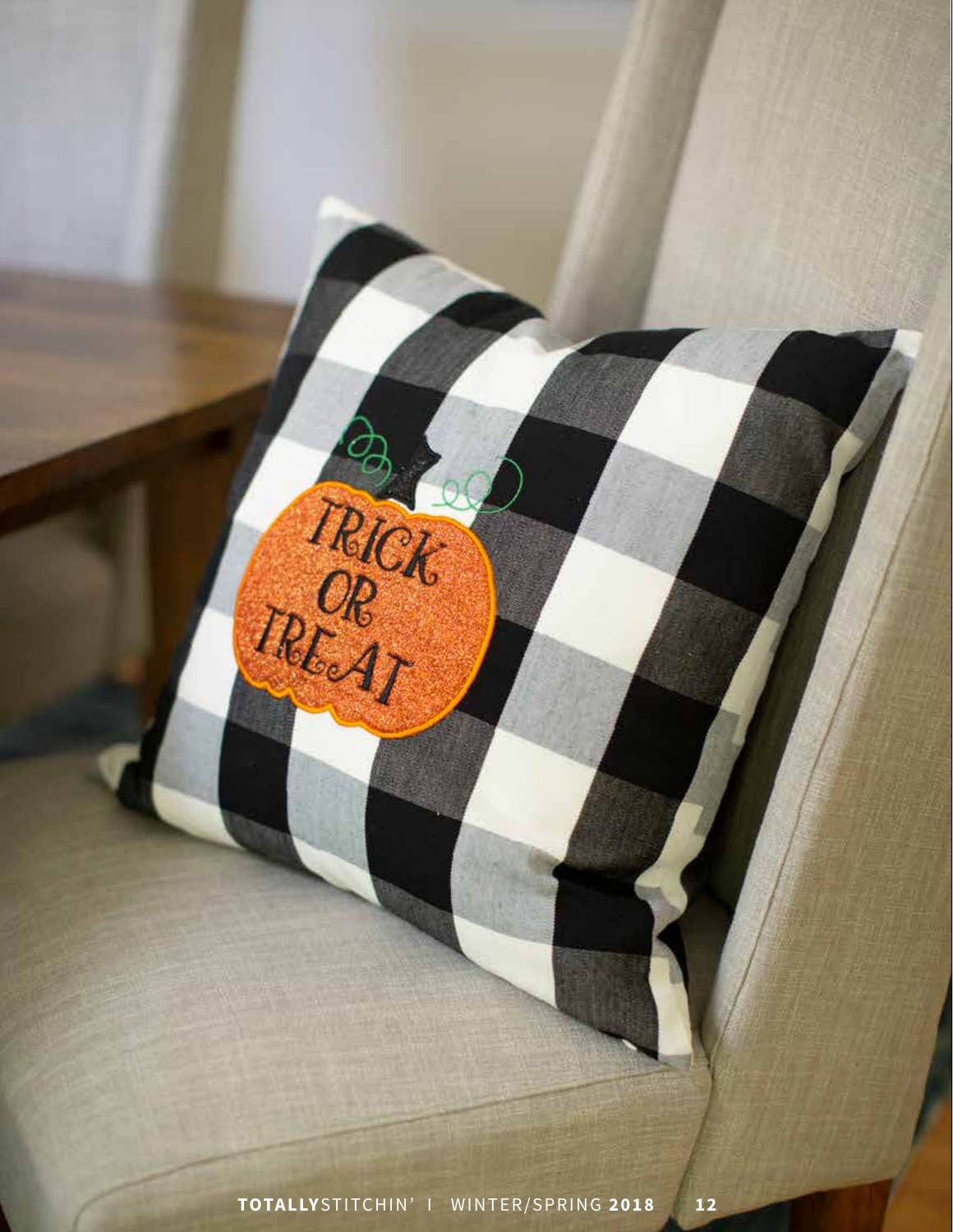**TOTALLY**STITCHIN' **1 2** WINTER/SPRING **<sup>2018</sup> TOTALLY**STITCHIN' I WINTER/SPRING **2018 12**

TRICK OR OK